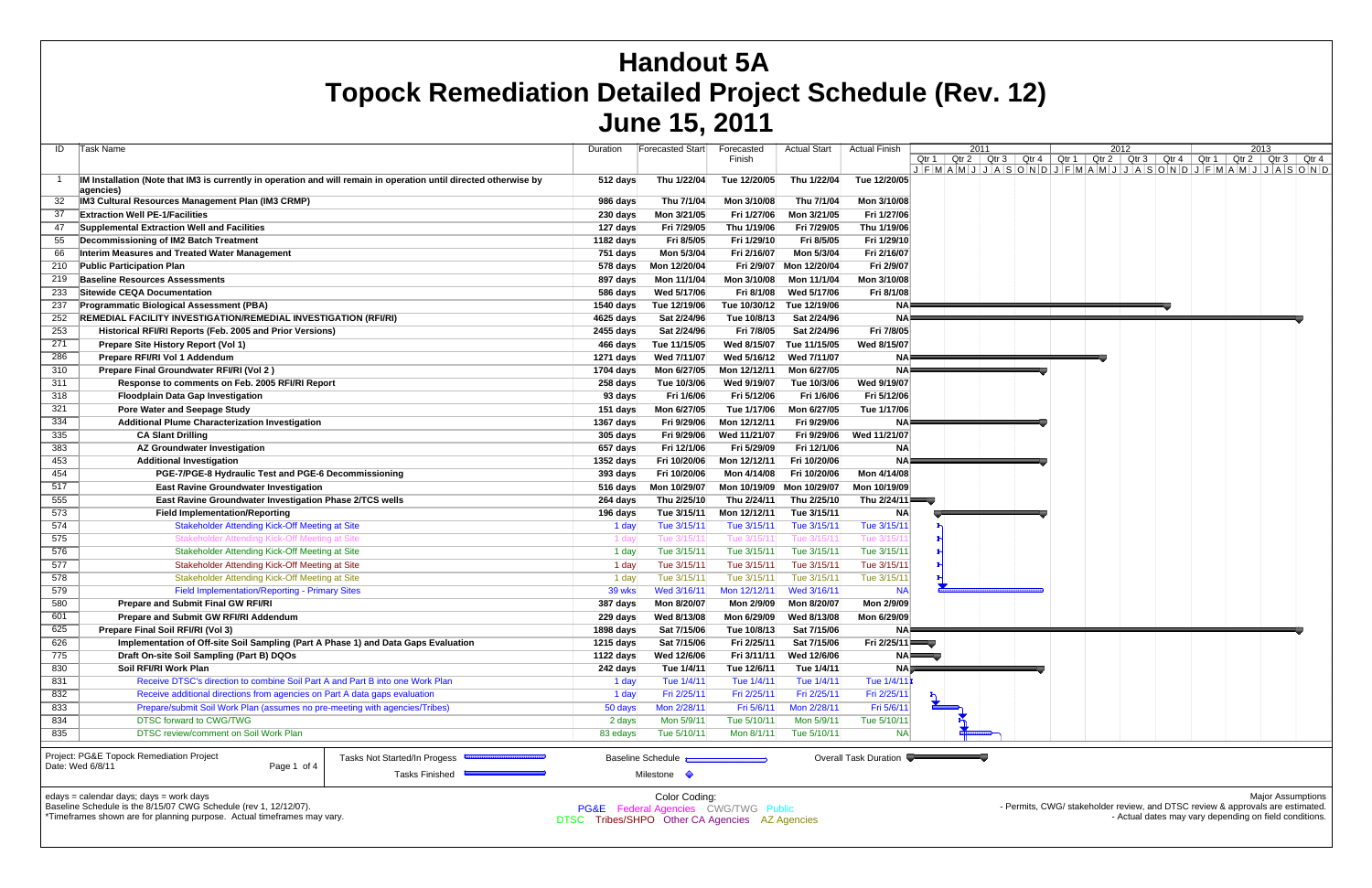DTSC Tribes/SHPOO Other CA Agencies AZ Agencies

|     |                                                                                                                            |                                                | VUIIV IV, LVI I                                 |              |                           |                         |    |      |  |      |                                                                                                                                                 |                          |  |
|-----|----------------------------------------------------------------------------------------------------------------------------|------------------------------------------------|-------------------------------------------------|--------------|---------------------------|-------------------------|----|------|--|------|-------------------------------------------------------------------------------------------------------------------------------------------------|--------------------------|--|
| ID  | Task Name                                                                                                                  | Duration                                       | Forecasted Start                                | Forecasted   | <b>Actual Start</b>       | <b>Actual Finish</b>    |    | 2011 |  | 2012 |                                                                                                                                                 | 2013                     |  |
|     |                                                                                                                            |                                                |                                                 | Finish       |                           |                         |    |      |  |      | Qtr 1   Qtr 2   Qtr 3   Qtr 4   Qtr 1   Qtr 2   Qtr 3   Qtr 4   Qtr 1   Qtr 2   Qtr 3   Qtr 4                                                   |                          |  |
|     |                                                                                                                            |                                                |                                                 |              |                           |                         |    |      |  |      | $J$ $F$ $M$ $A$ $M$ $J$ $J$ $A$ $S$ $O$ $N$ $D$ $J$ $F$ $M$ $A$ $M$ $J$ $J$ $A$ $S$ $O$ $N$ $D$ $J$ $F$ $M$ $A$ $M$ $J$ $J$ $A$ $S$ $O$ $N$ $D$ |                          |  |
|     | IM Installation (Note that IM3 is currently in operation and will remain in operation until directed otherwise by          | 512 days                                       | Thu 1/22/04                                     | Tue 12/20/05 | Thu 1/22/04               | Tue 12/20/05            |    |      |  |      |                                                                                                                                                 |                          |  |
|     | agencies)<br>IM3 Cultural Resources Management Plan (IM3 CRMP)                                                             | 986 days                                       | Thu 7/1/04                                      | Mon 3/10/08  | Thu 7/1/04                | Mon 3/10/08             |    |      |  |      |                                                                                                                                                 |                          |  |
|     |                                                                                                                            |                                                |                                                 |              |                           | Fri 1/27/06             |    |      |  |      |                                                                                                                                                 |                          |  |
|     | <b>Extraction Well PE-1/Facilities</b>                                                                                     | 230 days                                       | Mon 3/21/05                                     | Fri 1/27/06  | Mon 3/21/05               |                         |    |      |  |      |                                                                                                                                                 |                          |  |
| 47  | Supplemental Extraction Well and Facilities                                                                                | 127 days                                       | Fri 7/29/05                                     | Thu 1/19/06  | Fri 7/29/05               | Thu 1/19/06             |    |      |  |      |                                                                                                                                                 |                          |  |
| 55  | Decommissioning of IM2 Batch Treatment                                                                                     | 1182 days                                      | Fri 8/5/05                                      | Fri 1/29/10  | Fri 8/5/05                | Fri 1/29/10             |    |      |  |      |                                                                                                                                                 |                          |  |
| 66  | Interim Measures and Treated Water Management                                                                              | 751 days                                       | Mon 5/3/04                                      | Fri 2/16/07  | Mon 5/3/04                | Fri 2/16/07             |    |      |  |      |                                                                                                                                                 |                          |  |
| 210 | <b>Public Participation Plan</b>                                                                                           | 578 days                                       | Mon 12/20/04                                    | Fri 2/9/07   | Mon 12/20/04              | Fri 2/9/07              |    |      |  |      |                                                                                                                                                 |                          |  |
| 219 | <b>Baseline Resources Assessments</b>                                                                                      | 897 days                                       | Mon 11/1/04                                     | Mon 3/10/08  | Mon 11/1/04               | Mon 3/10/08             |    |      |  |      |                                                                                                                                                 |                          |  |
| 233 | Sitewide CEOA Documentation                                                                                                | 586 days                                       | Wed 5/17/06                                     | Fri 8/1/08   | Wed 5/17/06               | Fri 8/1/08              |    |      |  |      |                                                                                                                                                 |                          |  |
| 237 | <b>Programmatic Biological Assessment (PBA)</b>                                                                            | 1540 days                                      | Tue 12/19/06                                    | Tue 10/30/12 | Tue 12/19/06              | ΝA                      |    |      |  |      |                                                                                                                                                 |                          |  |
| 252 | REMEDIAL FACILITY INVESTIGATION/REMEDIAL INVESTIGATION (RFI/RI)                                                            | 4625 days                                      | Sat 2/24/96                                     | Tue 10/8/13  | Sat 2/24/96               | ΝA                      |    |      |  |      |                                                                                                                                                 |                          |  |
| 253 | Historical RFI/RI Reports (Feb. 2005 and Prior Versions)                                                                   | 2455 days                                      | Sat 2/24/96                                     | Fri 7/8/05   | Sat 2/24/96               | Fri 7/8/05              |    |      |  |      |                                                                                                                                                 |                          |  |
| 271 | Prepare Site History Report (Vol 1)                                                                                        | 466 days                                       | Tue 11/15/05                                    | Wed 8/15/07  | Tue 11/15/05              | Wed 8/15/07             |    |      |  |      |                                                                                                                                                 |                          |  |
| 286 | Prepare RFI/RI Vol 1 Addendum                                                                                              | 1271 days                                      | Wed 7/11/07                                     | Wed 5/16/12  | Wed 7/11/07               | <b>NA</b>               |    |      |  |      |                                                                                                                                                 |                          |  |
| 310 | Prepare Final Groundwater RFI/RI (Vol 2)                                                                                   | 1704 days                                      | Mon 6/27/05                                     | Mon 12/12/11 | Mon 6/27/05               | <b>NA</b>               |    |      |  |      |                                                                                                                                                 |                          |  |
| 311 | Response to comments on Feb. 2005 RFI/RI Report                                                                            | 258 days                                       | Tue 10/3/06                                     | Wed 9/19/07  | Tue 10/3/06               | Wed 9/19/07             |    |      |  |      |                                                                                                                                                 |                          |  |
| 318 | <b>Floodplain Data Gap Investigation</b>                                                                                   | 93 days                                        | Fri 1/6/06                                      | Fri 5/12/06  | Fri 1/6/06                | Fri 5/12/06             |    |      |  |      |                                                                                                                                                 |                          |  |
| 321 | <b>Pore Water and Seepage Study</b>                                                                                        | 151 days                                       | Mon 6/27/05                                     | Tue 1/17/06  | Mon 6/27/05               | Tue 1/17/06             |    |      |  |      |                                                                                                                                                 |                          |  |
|     |                                                                                                                            |                                                |                                                 |              | Fri 9/29/06               |                         |    |      |  |      |                                                                                                                                                 |                          |  |
| 334 | <b>Additional Plume Characterization Investigation</b>                                                                     | $1367$ days                                    | Fri 9/29/06                                     | Mon 12/12/11 |                           | ΝA                      |    |      |  |      |                                                                                                                                                 |                          |  |
| 335 | <b>CA Slant Drilling</b>                                                                                                   | 305 days                                       | Fri 9/29/06                                     | Wed 11/21/07 | Fri 9/29/06               | Wed 11/21/07            |    |      |  |      |                                                                                                                                                 |                          |  |
| 383 | <b>AZ Groundwater Investigation</b>                                                                                        | 657 days                                       | Fri 12/1/06                                     | Fri 5/29/09  | Fri 12/1/06               | <b>NA</b>               |    |      |  |      |                                                                                                                                                 |                          |  |
| 453 | <b>Additional Investigation</b>                                                                                            | 1352 days                                      | Fri 10/20/06                                    | Mon 12/12/11 | Fri 10/20/06              | <b>NA</b>               |    |      |  |      |                                                                                                                                                 |                          |  |
| 454 | PGE-7/PGE-8 Hydraulic Test and PGE-6 Decommissioning                                                                       | 393 days                                       | Fri 10/20/06                                    | Mon 4/14/08  | Fri 10/20/06              | Mon 4/14/08             |    |      |  |      |                                                                                                                                                 |                          |  |
| 517 | <b>East Ravine Groundwater Investigation</b>                                                                               | 516 days                                       | Mon 10/29/07                                    |              | Mon 10/19/09 Mon 10/29/07 | Mon 10/19/09            |    |      |  |      |                                                                                                                                                 |                          |  |
| 555 | East Ravine Groundwater Investigation Phase 2/TCS wells                                                                    | 264 days                                       | Thu 2/25/10                                     | Thu 2/24/11  | Thu 2/25/10               | Thu 2/24/11             |    |      |  |      |                                                                                                                                                 |                          |  |
| 573 | <b>Field Implementation/Reporting</b>                                                                                      | 196 days                                       | Tue 3/15/11                                     | Mon 12/12/11 | Tue 3/15/11               | ΝA                      |    |      |  |      |                                                                                                                                                 |                          |  |
| 574 | Stakeholder Attending Kick-Off Meeting at Site                                                                             | 1 day                                          | Tue 3/15/11                                     | Tue 3/15/11  | Tue 3/15/11               | Tue 3/15/1              |    |      |  |      |                                                                                                                                                 |                          |  |
| 575 | Stakeholder Attending Kick-Off Meeting at Site                                                                             | 1 day                                          | Tue 3/15/11                                     | Tue 3/15/1   | Tue 3/15/1                | Гue 3/15/ $^{\circ}$    |    |      |  |      |                                                                                                                                                 |                          |  |
| 576 | Stakeholder Attending Kick-Off Meeting at Site                                                                             | 1 day                                          | Tue 3/15/11                                     | Tue 3/15/11  | Tue 3/15/11               | Tue 3/15/1              |    |      |  |      |                                                                                                                                                 |                          |  |
| 577 | Stakeholder Attending Kick-Off Meeting at Site                                                                             | 1 day                                          | Tue 3/15/11                                     | Tue 3/15/11  | Tue 3/15/11               | Tue 3/15/1              |    |      |  |      |                                                                                                                                                 |                          |  |
| 578 | Stakeholder Attending Kick-Off Meeting at Site                                                                             | 1 day                                          | Tue 3/15/11                                     | Tue 3/15/11  | Tue 3/15/11               | Tue 3/15/1              |    |      |  |      |                                                                                                                                                 |                          |  |
| 579 | <b>Field Implementation/Reporting - Primary Sites</b>                                                                      | 39 wks                                         | Wed 3/16/11                                     | Mon 12/12/11 | Wed 3/16/11               | <b>NA</b>               |    |      |  |      |                                                                                                                                                 |                          |  |
| 580 | <b>Prepare and Submit Final GW RFI/RI</b>                                                                                  | 387 days                                       | Mon 8/20/07                                     | Mon 2/9/09   | Mon 8/20/07               | Mon 2/9/09              |    |      |  |      |                                                                                                                                                 |                          |  |
| 601 | <b>Prepare and Submit GW RFI/RI Addendum</b>                                                                               | 229 days                                       | Wed 8/13/08                                     | Mon 6/29/09  | Wed 8/13/08               | Mon 6/29/09             |    |      |  |      |                                                                                                                                                 |                          |  |
| 625 | Prepare Final Soil RFI/RI (Vol 3)                                                                                          | <b>1898 days</b>                               | Sat 7/15/06                                     | Tue 10/8/13  | Sat 7/15/06               |                         |    |      |  |      |                                                                                                                                                 |                          |  |
| 626 | Implementation of Off-site Soil Sampling (Part A Phase 1) and Data Gaps Evaluation                                         | 1215 days                                      | Sat 7/15/06                                     | Fri 2/25/11  | Sat 7/15/06               | Fri $2/25/11$           |    |      |  |      |                                                                                                                                                 |                          |  |
| 775 | Draft On-site Soil Sampling (Part B) DQOs                                                                                  | 1122 days                                      | Wed 12/6/06                                     | Fri 3/11/11  | Wed 12/6/06               |                         | NA |      |  |      |                                                                                                                                                 |                          |  |
| 830 | Soil RFI/RI Work Plan                                                                                                      | 242 days                                       | Tue 1/4/11                                      | Tue 12/6/11  | Tue 1/4/11                | <b>NA</b>               |    |      |  |      |                                                                                                                                                 |                          |  |
|     |                                                                                                                            |                                                |                                                 |              |                           |                         |    |      |  |      |                                                                                                                                                 |                          |  |
| 831 | Receive DTSC's direction to combine Soil Part A and Part B into one Work Plan                                              | 1 day                                          | Tue 1/4/11                                      | Tue 1/4/11   | Tue 1/4/11                | Tue $1/4/1$             |    |      |  |      |                                                                                                                                                 |                          |  |
| 832 | Receive additional directions from agencies on Part A data gaps evaluation                                                 | 1 day                                          | Fri 2/25/11                                     | Fri 2/25/11  | Fri 2/25/11               | Fri 2/25/1              |    |      |  |      |                                                                                                                                                 |                          |  |
| 833 | Prepare/submit Soil Work Plan (assumes no pre-meeting with agencies/Tribes)                                                | 50 days                                        | Mon 2/28/11                                     | Fri 5/6/11   | Mon 2/28/11               | Fri 5/6/1               |    |      |  |      |                                                                                                                                                 |                          |  |
| 834 | <b>DTSC forward to CWG/TWG</b>                                                                                             | 2 days                                         | Mon 5/9/11                                      | Tue 5/10/11  | Mon 5/9/11                | Tue 5/10/11             |    |      |  |      |                                                                                                                                                 |                          |  |
| 835 | DTSC review/comment on Soil Work Plan                                                                                      | 83 edays                                       | Tue 5/10/11                                     | Mon 8/1/11   | Tue 5/10/11               | <b>NA</b>               |    |      |  |      |                                                                                                                                                 |                          |  |
|     |                                                                                                                            |                                                |                                                 |              |                           |                         |    |      |  |      |                                                                                                                                                 |                          |  |
|     | Project: PG&E Topock Remediation Project<br>Tasks Not Started/In Progess <sup>633</sup><br>Date: Wed 6/8/11<br>Page 1 of 4 |                                                | Baseline Schedule                               |              |                           | Overall Task Duration ● |    |      |  |      |                                                                                                                                                 |                          |  |
|     | Tasks Finished                                                                                                             |                                                | Milestone $\Diamond$                            |              |                           |                         |    |      |  |      |                                                                                                                                                 |                          |  |
|     |                                                                                                                            |                                                |                                                 |              |                           |                         |    |      |  |      |                                                                                                                                                 |                          |  |
|     | edays = calendar days; days = work days                                                                                    |                                                | Color Coding:                                   |              |                           |                         |    |      |  |      |                                                                                                                                                 | <b>Major Assumptions</b> |  |
|     | Baseline Schedule is the 8/15/07 CWG Schedule (rev 1, 12/12/07).                                                           |                                                | <b>PG&amp;E</b> Federal Agencies CWG/TWG Public |              |                           |                         |    |      |  |      | - Permits, CWG/ stakeholder review, and DTSC review & approvals are estimated.                                                                  |                          |  |
|     | *Timeframes shown are for planning purpose. Actual timeframes may vary.                                                    | DTSC Tribes/SHPO Other CA Agencies AZ Agencies |                                                 |              |                           |                         |    |      |  |      | - Actual dates may vary depending on field conditions.                                                                                          |                          |  |

# **Handout 5A Topock Remediation Detailed Project Schedule (Rev. 12) June 15, 2011**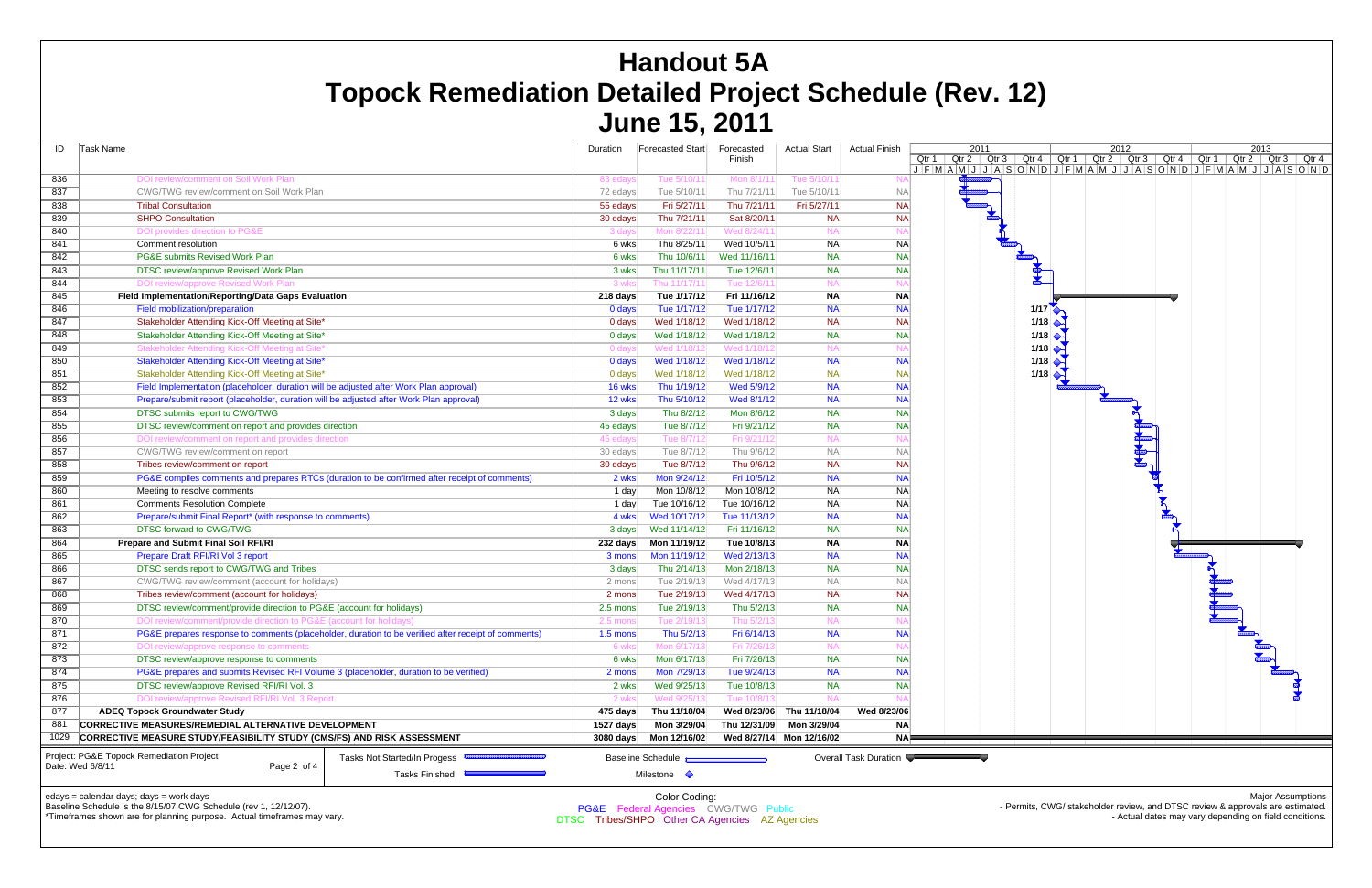| ID         | Task Name                                                                                                                            | Duration  |          | Forecasted Start                          | Forecasted<br>Finish      | <b>Actual Start</b>        | <b>Actual Finish</b>  | 2011<br>Qtr 1<br>$Qtr 2$ Qtr 3  |
|------------|--------------------------------------------------------------------------------------------------------------------------------------|-----------|----------|-------------------------------------------|---------------------------|----------------------------|-----------------------|---------------------------------|
|            |                                                                                                                                      |           |          |                                           |                           |                            |                       | $J$ $F$ $M$ $A$ $M$ $J$ $J$ $A$ |
| 836<br>837 | DOI review/comment on Soil Work Plan                                                                                                 | 83 edays  |          | Tue 5/10/11<br>Tue 5/10/11                | Mon 8/1/11<br>Thu 7/21/11 | Tue 5/10/11<br>Tue 5/10/11 | N/                    |                                 |
|            | CWG/TWG review/comment on Soil Work Plan<br><b>Tribal Consultation</b>                                                               | 72 edays  |          | Fri 5/27/11                               | Thu 7/21/11               | Fri 5/27/11                | <b>NA</b>             |                                 |
| 838        |                                                                                                                                      | 55 edays  |          |                                           |                           |                            | <b>NA</b>             |                                 |
| 839        | <b>SHPO Consultation</b>                                                                                                             | 30 edays  |          | Thu 7/21/11                               | Sat 8/20/11               | <b>NA</b>                  | <b>NA</b>             |                                 |
| 840        | DOI provides direction to PG&E                                                                                                       | 3 days    |          | Mon 8/22/11                               | Wed 8/24/11               | <b>NA</b>                  | N/                    |                                 |
| 841        | Comment resolution                                                                                                                   |           | 6 wks    | Thu 8/25/11                               | Wed 10/5/11               | <b>NA</b>                  | <b>NA</b>             |                                 |
| 842        | PG&E submits Revised Work Plan                                                                                                       |           | 6 wks    | Thu 10/6/11                               | Wed 11/16/11              | <b>NA</b>                  | <b>NA</b>             |                                 |
| 843        | DTSC review/approve Revised Work Plan                                                                                                |           | 3 wks    | Thu 11/17/11                              | Tue 12/6/11               | <b>NA</b>                  | <b>NA</b>             |                                 |
| 844        | DOI review/approve Revised Work Plan                                                                                                 |           | 3 wks    | Thu 11/17/11                              | Tue 12/6/11               | <b>NA</b>                  | N/                    |                                 |
| 845        | Field Implementation/Reporting/Data Gaps Evaluation                                                                                  | 218 days  |          | Tue 1/17/12                               | Fri 11/16/12              | <b>NA</b>                  | <b>NA</b>             |                                 |
| 846        | Field mobilization/preparation                                                                                                       | 0 days    |          | Tue 1/17/12                               | Tue 1/17/12               | <b>NA</b>                  | <b>NA</b>             |                                 |
| 847        | Stakeholder Attending Kick-Off Meeting at Site*                                                                                      | 0 days    |          | Wed 1/18/12                               | Wed 1/18/12               | <b>NA</b>                  | <b>NA</b>             |                                 |
| 848        | Stakeholder Attending Kick-Off Meeting at Site*                                                                                      |           | $0$ days | Wed 1/18/12                               | Wed 1/18/12               | <b>NA</b>                  | <b>NA</b>             |                                 |
| 849        | Stakeholder Attending Kick-Off Meeting at Site*                                                                                      |           | 0 days   | Wed 1/18/12                               | Wed 1/18/12               | <b>NA</b>                  | N                     |                                 |
| 850        | Stakeholder Attending Kick-Off Meeting at Site*                                                                                      | 0 days    |          | Wed 1/18/12                               | Wed 1/18/12               | <b>NA</b>                  | <b>NA</b>             |                                 |
| 851        | Stakeholder Attending Kick-Off Meeting at Site*                                                                                      | 0 days    |          | Wed 1/18/12                               | Wed 1/18/12               | <b>NA</b>                  | <b>NA</b>             |                                 |
| 852        | Field Implementation (placeholder, duration will be adjusted after Work Plan approval)                                               | 16 wks    |          | Thu 1/19/12                               | Wed 5/9/12                | <b>NA</b>                  | <b>NA</b>             |                                 |
| 853        | Prepare/submit report (placeholder, duration will be adjusted after Work Plan approval)                                              | 12 wks    |          | Thu 5/10/12                               | Wed 8/1/12                | <b>NA</b>                  | <b>NA</b>             |                                 |
| 854        | DTSC submits report to CWG/TWG                                                                                                       |           | 3 days   | Thu 8/2/12                                | Mon 8/6/12                | <b>NA</b>                  | <b>NA</b>             |                                 |
| 855        | DTSC review/comment on report and provides direction                                                                                 | 45 edays  |          | Tue 8/7/12                                | Fri 9/21/12               | <b>NA</b>                  | <b>NA</b>             |                                 |
| 856        | DOI review/comment on report and provides direction                                                                                  | 45 edays  |          | Tue 8/7/12                                | Fri 9/21/12               | <b>NA</b>                  | N/                    |                                 |
| 857        | CWG/TWG review/comment on report                                                                                                     | 30 edays  |          | Tue 8/7/12                                | Thu 9/6/12                | <b>NA</b>                  | <b>NA</b>             |                                 |
| 858        | Tribes review/comment on report                                                                                                      | 30 edays  |          | Tue 8/7/12                                | Thu 9/6/12                | <b>NA</b>                  | <b>NA</b>             |                                 |
| 859        | PG&E compiles comments and prepares RTCs (duration to be confirmed after receipt of comments)                                        |           | 2 wks    | Mon 9/24/12                               | Fri 10/5/12               | <b>NA</b>                  | <b>NA</b>             |                                 |
| 860        | Meeting to resolve comments                                                                                                          |           | 1 day    | Mon 10/8/12                               | Mon 10/8/12               | <b>NA</b>                  | <b>NA</b>             |                                 |
| 861        | <b>Comments Resolution Complete</b>                                                                                                  |           | 1 day    | Tue 10/16/12                              | Tue 10/16/12              | <b>NA</b>                  | NA                    |                                 |
| 862        | Prepare/submit Final Report* (with response to comments)                                                                             |           | 4 wks    | Wed 10/17/12                              | Tue 11/13/12              | <b>NA</b>                  | <b>NA</b>             |                                 |
| 863        | DTSC forward to CWG/TWG                                                                                                              |           | 3 days   | Wed 11/14/12                              | Fri 11/16/12              | <b>NA</b>                  | <b>NA</b>             |                                 |
| 864        | Prepare and Submit Final Soil RFI/RI                                                                                                 | 232 days  |          | Mon 11/19/12                              | Tue 10/8/13               | <b>NA</b>                  | <b>NA</b>             |                                 |
| 865        | Prepare Draft RFI/RI Vol 3 report                                                                                                    | 3 mons    |          | Mon 11/19/12                              | Wed 2/13/13               | <b>NA</b>                  | <b>NA</b>             |                                 |
| 866        | DTSC sends report to CWG/TWG and Tribes                                                                                              | 3 days    |          | Thu 2/14/13                               | Mon 2/18/13               | <b>NA</b>                  | <b>NA</b>             |                                 |
| 867        | CWG/TWG review/comment (account for holidays)                                                                                        | 2 mons    |          | Tue 2/19/13                               | Wed 4/17/13               | <b>NA</b>                  | <b>NA</b>             |                                 |
| 868        | Tribes review/comment (account for holidays)                                                                                         | 2 mons    |          | Tue 2/19/13                               | Wed 4/17/13               | <b>NA</b>                  | <b>NA</b>             |                                 |
| 869        | DTSC review/comment/provide direction to PG&E (account for holidays)                                                                 | 2.5 mons  |          | Tue 2/19/13                               | Thu 5/2/13                | <b>NA</b>                  | <b>NA</b>             |                                 |
| 870        | DOI review/comment/provide direction to PG&E (account for holidays)                                                                  | 2.5 mons  |          | Tue 2/19/13                               | Thu 5/2/13                | <b>NA</b>                  | N/                    |                                 |
| 871        | PG&E prepares response to comments (placeholder, duration to be verified after receipt of comments)                                  | 1.5 mons  |          | Thu 5/2/13                                | Fri 6/14/13               | <b>NA</b>                  | <b>NA</b>             |                                 |
| 872        | DOI review/approve response to comments                                                                                              |           | 6 wks    | Mon 6/17/13                               | Fri 7/26/13               | <b>NA</b>                  | N                     |                                 |
| 873        | DTSC review/approve response to comments                                                                                             |           | 6 wks    | Mon 6/17/13                               | Fri 7/26/13               | <b>NA</b>                  | <b>NA</b>             |                                 |
| 874        | PG&E prepares and submits Revised RFI Volume 3 (placeholder, duration to be verified)                                                | 2 mons    |          | Mon 7/29/13                               | Tue 9/24/13               | <b>NA</b>                  | <b>NA</b>             |                                 |
| 875        | DTSC review/approve Revised RFI/RI Vol. 3                                                                                            |           | 2 wks    | Wed 9/25/13                               | Tue 10/8/13               | <b>NA</b>                  | <b>NA</b>             |                                 |
| 876        | DOI review/approve Revised RFI/RI Vol. 3 Report                                                                                      |           | 2 wks    | Wed 9/25/13                               | Tue 10/8/13               | <b>NA</b>                  |                       |                                 |
| 877        | <b>ADEQ Topock Groundwater Study</b>                                                                                                 | 475 days  |          | Thu 11/18/04                              | Wed 8/23/06               | Thu 11/18/04               | Wed 8/23/06           |                                 |
| 881        | CORRECTIVE MEASURES/REMEDIAL ALTERNATIVE DEVELOPMENT                                                                                 | 1527 days |          | Mon 3/29/04                               | Thu 12/31/09              | Mon 3/29/04                | <b>NA</b>             |                                 |
| 1029       | CORRECTIVE MEASURE STUDY/FEASIBILITY STUDY (CMS/FS) AND RISK ASSESSMENT                                                              | 3080 days |          | Mon 12/16/02                              |                           | Wed 8/27/14 Mon 12/16/02   | NA                    |                                 |
|            | Project: PG&E Topock Remediation Project<br><b>Tasks Not Started/In Progess</b><br>Date: Wed 6/8/11<br>Page 2 of 4<br>Tasks Finished |           |          | Baseline Schedule<br>Milestone $\Diamond$ |                           |                            | Overall Task Duration |                                 |

# **Handout 5A Topock Remediation Detailed Project Schedule (Rev. 12) June 15, 2011**

edays = calendar days; days = work days

Baseline Schedule is the 8/15/07 CWG Schedule (rev 1, 12/12/07).



\*Timeframes shown are for planning purpose. Actual timeframes may vary.

Color Coding: PG&E Federal Agencies CWG/TWG Public DTSC Tribes/SHPO Other CA Agencies AZ Agencies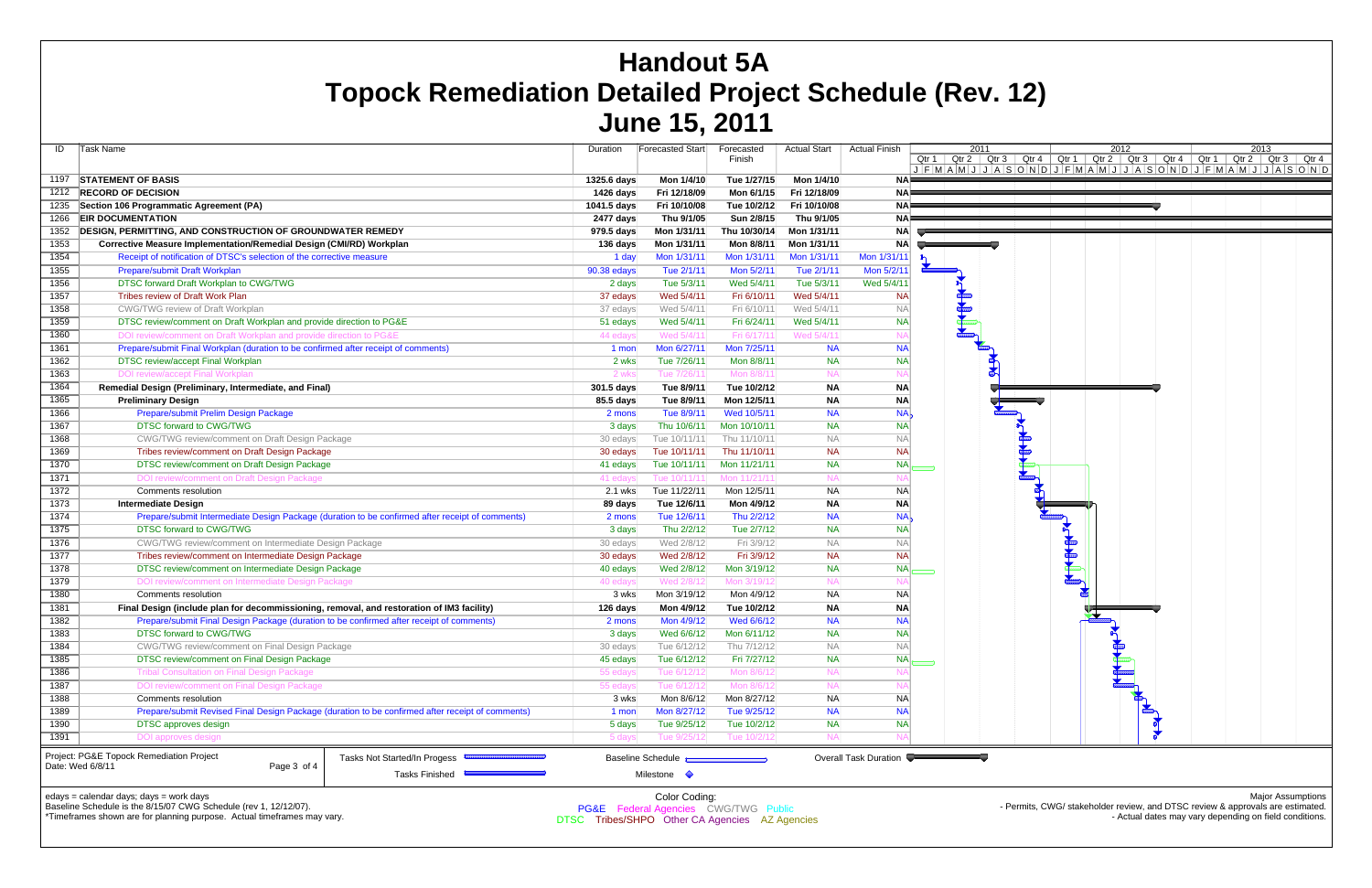| ID<br>Task Name<br>1197<br>1212<br>1235<br>1266<br>1352<br>1353<br>1354<br>1355<br>1356<br>1357<br>1358<br>1359 | <b>STATEMENT OF BASIS</b><br><b>RECORD OF DECISION</b><br>Section 106 Programmatic Agreement (PA)<br><b>EIR DOCUMENTATION</b><br><b>DESIGN, PERMITTING, AND CONSTRUCTION OF GROUNDWATER REMEDY</b><br>Corrective Measure Implementation/Remedial Design (CMI/RD) Workplan<br>Receipt of notification of DTSC's selection of the corrective measure<br>Prepare/submit Draft Workplan<br>DTSC forward Draft Workplan to CWG/TWG<br>Tribes review of Draft Work Plan<br>CWG/TWG review of Draft Workplan<br>DTSC review/comment on Draft Workplan and provide direction to PG&E<br>DOI review/comment on Draft Workplan and provide direction to PG&E |                                                                                                  | Duration<br>1325.6 days<br>1426 days<br>1041.5 days<br>2477 days<br>979.5 days<br>136 days<br>1 day<br>90.38 edays<br>2 days | Forecasted Start<br>Mon 1/4/10<br>Fri 12/18/09<br>Fri 10/10/08<br>Thu 9/1/05<br>Mon 1/31/11<br>Mon 1/31/11<br>Mon 1/31/11<br>Tue 2/1/11 | Forecasted<br>Finish<br>Tue 1/27/15<br>Mon 6/1/15<br>Tue 10/2/12<br>Sun 2/8/15<br>Thu 10/30/14<br>Mon 8/8/11<br>Mon 1/31/11 | <b>Actual Start</b><br>Mon 1/4/10<br>Fri 12/18/09<br>Fri 10/10/08<br>Thu 9/1/05<br>Mon 1/31/11<br>Mon 1/31/11<br>Mon 1/31/11 | <b>Actual Finish</b><br><b>NA</b><br>ΝA<br>ΝA<br>ΝA<br><b>NA</b><br><b>NA</b><br>Mon 1/31/11 |              | 2011<br>Qtr $1 \mid$ Qtr $2 \mid$ Qtr $3$<br>$J$ $F$ $M$ $A$ $M$ $J$ $J$ $A$ $S$ |                 |
|-----------------------------------------------------------------------------------------------------------------|----------------------------------------------------------------------------------------------------------------------------------------------------------------------------------------------------------------------------------------------------------------------------------------------------------------------------------------------------------------------------------------------------------------------------------------------------------------------------------------------------------------------------------------------------------------------------------------------------------------------------------------------------|--------------------------------------------------------------------------------------------------|------------------------------------------------------------------------------------------------------------------------------|-----------------------------------------------------------------------------------------------------------------------------------------|-----------------------------------------------------------------------------------------------------------------------------|------------------------------------------------------------------------------------------------------------------------------|----------------------------------------------------------------------------------------------|--------------|----------------------------------------------------------------------------------|-----------------|
|                                                                                                                 |                                                                                                                                                                                                                                                                                                                                                                                                                                                                                                                                                                                                                                                    |                                                                                                  |                                                                                                                              |                                                                                                                                         |                                                                                                                             |                                                                                                                              |                                                                                              |              |                                                                                  |                 |
|                                                                                                                 |                                                                                                                                                                                                                                                                                                                                                                                                                                                                                                                                                                                                                                                    |                                                                                                  |                                                                                                                              |                                                                                                                                         |                                                                                                                             |                                                                                                                              |                                                                                              |              |                                                                                  |                 |
|                                                                                                                 |                                                                                                                                                                                                                                                                                                                                                                                                                                                                                                                                                                                                                                                    |                                                                                                  |                                                                                                                              |                                                                                                                                         |                                                                                                                             |                                                                                                                              |                                                                                              |              |                                                                                  |                 |
|                                                                                                                 |                                                                                                                                                                                                                                                                                                                                                                                                                                                                                                                                                                                                                                                    |                                                                                                  |                                                                                                                              |                                                                                                                                         |                                                                                                                             |                                                                                                                              |                                                                                              |              |                                                                                  |                 |
|                                                                                                                 |                                                                                                                                                                                                                                                                                                                                                                                                                                                                                                                                                                                                                                                    |                                                                                                  |                                                                                                                              |                                                                                                                                         |                                                                                                                             |                                                                                                                              |                                                                                              |              |                                                                                  |                 |
|                                                                                                                 |                                                                                                                                                                                                                                                                                                                                                                                                                                                                                                                                                                                                                                                    |                                                                                                  |                                                                                                                              |                                                                                                                                         |                                                                                                                             |                                                                                                                              |                                                                                              |              |                                                                                  |                 |
|                                                                                                                 |                                                                                                                                                                                                                                                                                                                                                                                                                                                                                                                                                                                                                                                    |                                                                                                  |                                                                                                                              |                                                                                                                                         |                                                                                                                             |                                                                                                                              |                                                                                              |              |                                                                                  |                 |
|                                                                                                                 |                                                                                                                                                                                                                                                                                                                                                                                                                                                                                                                                                                                                                                                    |                                                                                                  |                                                                                                                              |                                                                                                                                         |                                                                                                                             |                                                                                                                              |                                                                                              |              |                                                                                  |                 |
|                                                                                                                 |                                                                                                                                                                                                                                                                                                                                                                                                                                                                                                                                                                                                                                                    |                                                                                                  |                                                                                                                              |                                                                                                                                         |                                                                                                                             |                                                                                                                              |                                                                                              | $\mathbf{r}$ |                                                                                  |                 |
|                                                                                                                 |                                                                                                                                                                                                                                                                                                                                                                                                                                                                                                                                                                                                                                                    |                                                                                                  |                                                                                                                              |                                                                                                                                         | Mon 5/2/11                                                                                                                  | Tue 2/1/11                                                                                                                   | Mon 5/2/11                                                                                   |              |                                                                                  |                 |
|                                                                                                                 |                                                                                                                                                                                                                                                                                                                                                                                                                                                                                                                                                                                                                                                    |                                                                                                  |                                                                                                                              | Tue 5/3/11                                                                                                                              | Wed 5/4/11                                                                                                                  | Tue 5/3/11                                                                                                                   | Wed 5/4/11                                                                                   |              |                                                                                  |                 |
|                                                                                                                 |                                                                                                                                                                                                                                                                                                                                                                                                                                                                                                                                                                                                                                                    |                                                                                                  | 37 edays                                                                                                                     | Wed 5/4/11                                                                                                                              | Fri 6/10/11                                                                                                                 | Wed 5/4/11                                                                                                                   | <b>NA</b>                                                                                    |              |                                                                                  |                 |
|                                                                                                                 |                                                                                                                                                                                                                                                                                                                                                                                                                                                                                                                                                                                                                                                    |                                                                                                  | 37 edays                                                                                                                     | Wed 5/4/11                                                                                                                              | Fri 6/10/11                                                                                                                 | Wed 5/4/11                                                                                                                   | NΑ                                                                                           |              | <b>Communication</b>                                                             |                 |
|                                                                                                                 |                                                                                                                                                                                                                                                                                                                                                                                                                                                                                                                                                                                                                                                    |                                                                                                  | 51 edays                                                                                                                     | Wed 5/4/11                                                                                                                              | Fri 6/24/11                                                                                                                 | Wed 5/4/11                                                                                                                   | <b>NA</b>                                                                                    |              |                                                                                  |                 |
| 1360                                                                                                            |                                                                                                                                                                                                                                                                                                                                                                                                                                                                                                                                                                                                                                                    |                                                                                                  | 44 edays                                                                                                                     | Wed 5/4/11                                                                                                                              | Fri 6/17/11                                                                                                                 | Wed 5/4/11                                                                                                                   | N                                                                                            |              |                                                                                  |                 |
| 1361                                                                                                            | Prepare/submit Final Workplan (duration to be confirmed after receipt of comments)                                                                                                                                                                                                                                                                                                                                                                                                                                                                                                                                                                 |                                                                                                  | 1 mon                                                                                                                        | Mon 6/27/11                                                                                                                             | Mon 7/25/11                                                                                                                 | <b>NA</b>                                                                                                                    | <b>NA</b>                                                                                    |              |                                                                                  |                 |
| 1362                                                                                                            | DTSC review/accept Final Workplan                                                                                                                                                                                                                                                                                                                                                                                                                                                                                                                                                                                                                  |                                                                                                  | 2 wks                                                                                                                        | Tue 7/26/11                                                                                                                             | Mon 8/8/11                                                                                                                  | <b>NA</b>                                                                                                                    | <b>NA</b>                                                                                    |              |                                                                                  |                 |
| 1363                                                                                                            | <b>DOI review/accept Final Workplan</b>                                                                                                                                                                                                                                                                                                                                                                                                                                                                                                                                                                                                            |                                                                                                  | 2 wks                                                                                                                        | Tue 7/26/11                                                                                                                             | Mon 8/8/11                                                                                                                  | <b>NA</b>                                                                                                                    | N/                                                                                           |              |                                                                                  |                 |
| 1364                                                                                                            | Remedial Design (Preliminary, Intermediate, and Final)                                                                                                                                                                                                                                                                                                                                                                                                                                                                                                                                                                                             |                                                                                                  | 301.5 days                                                                                                                   | Tue 8/9/11                                                                                                                              | Tue 10/2/12                                                                                                                 | <b>NA</b>                                                                                                                    | <b>NA</b>                                                                                    |              |                                                                                  | <b>REAL PRE</b> |
| 1365                                                                                                            | <b>Preliminary Design</b>                                                                                                                                                                                                                                                                                                                                                                                                                                                                                                                                                                                                                          |                                                                                                  | 85.5 days                                                                                                                    | Tue 8/9/11                                                                                                                              | Mon 12/5/11                                                                                                                 | <b>NA</b>                                                                                                                    | <b>NA</b>                                                                                    |              |                                                                                  |                 |
| 1366                                                                                                            | Prepare/submit Prelim Design Package                                                                                                                                                                                                                                                                                                                                                                                                                                                                                                                                                                                                               |                                                                                                  | 2 mons                                                                                                                       | Tue 8/9/11                                                                                                                              | Wed 10/5/11                                                                                                                 | <b>NA</b>                                                                                                                    | <b>NA</b>                                                                                    |              |                                                                                  |                 |
| 1367                                                                                                            | DTSC forward to CWG/TWG                                                                                                                                                                                                                                                                                                                                                                                                                                                                                                                                                                                                                            |                                                                                                  | 3 days                                                                                                                       | Thu 10/6/11                                                                                                                             | Mon 10/10/11                                                                                                                | <b>NA</b>                                                                                                                    | <b>NA</b>                                                                                    |              |                                                                                  |                 |
| 1368                                                                                                            | <b>CWG/TWG review/comment on Draft Design Package</b>                                                                                                                                                                                                                                                                                                                                                                                                                                                                                                                                                                                              |                                                                                                  | 30 edays                                                                                                                     | Tue 10/11/11                                                                                                                            | Thu 11/10/11                                                                                                                | <b>NA</b>                                                                                                                    | <b>NA</b>                                                                                    |              |                                                                                  |                 |
| 1369                                                                                                            | Tribes review/comment on Draft Design Package                                                                                                                                                                                                                                                                                                                                                                                                                                                                                                                                                                                                      |                                                                                                  | 30 edays                                                                                                                     | Tue 10/11/11                                                                                                                            | Thu 11/10/11                                                                                                                | <b>NA</b>                                                                                                                    | <b>NA</b>                                                                                    |              |                                                                                  |                 |
| 1370                                                                                                            | DTSC review/comment on Draft Design Package                                                                                                                                                                                                                                                                                                                                                                                                                                                                                                                                                                                                        |                                                                                                  | 41 edays                                                                                                                     | Tue 10/11/11                                                                                                                            | Mon 11/21/11                                                                                                                | <b>NA</b>                                                                                                                    | <b>NA</b>                                                                                    |              |                                                                                  |                 |
| 1371                                                                                                            | DOI review/comment on Draft Design Package                                                                                                                                                                                                                                                                                                                                                                                                                                                                                                                                                                                                         |                                                                                                  | 41 edays                                                                                                                     | Tue 10/11/11                                                                                                                            | Mon 11/21/11                                                                                                                | <b>NA</b>                                                                                                                    | N                                                                                            |              |                                                                                  |                 |
| 1372                                                                                                            | Comments resolution                                                                                                                                                                                                                                                                                                                                                                                                                                                                                                                                                                                                                                |                                                                                                  | 2.1 wks                                                                                                                      | Tue 11/22/11                                                                                                                            | Mon 12/5/11                                                                                                                 | <b>NA</b>                                                                                                                    | <b>NA</b>                                                                                    |              |                                                                                  |                 |
| 1373                                                                                                            | <b>Intermediate Design</b>                                                                                                                                                                                                                                                                                                                                                                                                                                                                                                                                                                                                                         |                                                                                                  | 89 days                                                                                                                      | Tue 12/6/11                                                                                                                             | Mon 4/9/12                                                                                                                  | <b>NA</b>                                                                                                                    | <b>NA</b>                                                                                    |              |                                                                                  |                 |
| 1374                                                                                                            |                                                                                                                                                                                                                                                                                                                                                                                                                                                                                                                                                                                                                                                    | Prepare/submit Intermediate Design Package (duration to be confirmed after receipt of comments)  | 2 mons                                                                                                                       | Tue 12/6/11                                                                                                                             | Thu 2/2/12                                                                                                                  | <b>NA</b>                                                                                                                    | <b>NA</b>                                                                                    |              |                                                                                  |                 |
| 1375                                                                                                            | DTSC forward to CWG/TWG                                                                                                                                                                                                                                                                                                                                                                                                                                                                                                                                                                                                                            |                                                                                                  | 3 days                                                                                                                       | Thu 2/2/12                                                                                                                              | Tue 2/7/12                                                                                                                  | <b>NA</b>                                                                                                                    | <b>NA</b>                                                                                    |              |                                                                                  |                 |
| 1376                                                                                                            | CWG/TWG review/comment on Intermediate Design Package                                                                                                                                                                                                                                                                                                                                                                                                                                                                                                                                                                                              |                                                                                                  | 30 edays                                                                                                                     | Wed 2/8/12                                                                                                                              | Fri 3/9/12                                                                                                                  | <b>NA</b>                                                                                                                    | <b>NA</b>                                                                                    |              |                                                                                  |                 |
| 1377                                                                                                            | Tribes review/comment on Intermediate Design Package                                                                                                                                                                                                                                                                                                                                                                                                                                                                                                                                                                                               |                                                                                                  | 30 edays                                                                                                                     | Wed 2/8/12                                                                                                                              | Fri 3/9/12                                                                                                                  | <b>NA</b>                                                                                                                    | <b>NA</b>                                                                                    |              |                                                                                  |                 |
| 1378                                                                                                            | DTSC review/comment on Intermediate Design Package                                                                                                                                                                                                                                                                                                                                                                                                                                                                                                                                                                                                 |                                                                                                  | 40 edays                                                                                                                     | Wed 2/8/12                                                                                                                              | Mon 3/19/12                                                                                                                 | <b>NA</b>                                                                                                                    | <b>NA</b>                                                                                    |              |                                                                                  |                 |
| 1379                                                                                                            | DOI review/comment on Intermediate Design Package                                                                                                                                                                                                                                                                                                                                                                                                                                                                                                                                                                                                  |                                                                                                  | 40 edays                                                                                                                     | Wed 2/8/12                                                                                                                              | Mon 3/19/12                                                                                                                 | <b>NA</b>                                                                                                                    | N                                                                                            |              |                                                                                  |                 |
| 1380                                                                                                            | Comments resolution                                                                                                                                                                                                                                                                                                                                                                                                                                                                                                                                                                                                                                |                                                                                                  | 3 wks                                                                                                                        | Mon 3/19/12                                                                                                                             | Mon 4/9/12                                                                                                                  | <b>NA</b>                                                                                                                    | <b>NA</b>                                                                                    |              |                                                                                  |                 |
| 1381                                                                                                            | Final Design (include plan for decommissioning, removal, and restoration of IM3 facility)                                                                                                                                                                                                                                                                                                                                                                                                                                                                                                                                                          |                                                                                                  | 126 days                                                                                                                     | Mon 4/9/12                                                                                                                              | Tue 10/2/12                                                                                                                 | <b>NA</b>                                                                                                                    | <b>NA</b>                                                                                    |              |                                                                                  |                 |
| 1382                                                                                                            | Prepare/submit Final Design Package (duration to be confirmed after receipt of comments)                                                                                                                                                                                                                                                                                                                                                                                                                                                                                                                                                           |                                                                                                  | 2 mons                                                                                                                       | Mon 4/9/12                                                                                                                              | Wed 6/6/12                                                                                                                  | <b>NA</b>                                                                                                                    | <b>NA</b>                                                                                    |              |                                                                                  |                 |
| 1383                                                                                                            | DTSC forward to CWG/TWG                                                                                                                                                                                                                                                                                                                                                                                                                                                                                                                                                                                                                            |                                                                                                  | 3 days                                                                                                                       | Wed 6/6/12                                                                                                                              | Mon 6/11/12                                                                                                                 | <b>NA</b>                                                                                                                    | <b>NA</b>                                                                                    |              |                                                                                  |                 |
| 1384                                                                                                            | CWG/TWG review/comment on Final Design Package                                                                                                                                                                                                                                                                                                                                                                                                                                                                                                                                                                                                     |                                                                                                  | 30 edays                                                                                                                     | Tue 6/12/12                                                                                                                             | Thu 7/12/12                                                                                                                 | <b>NA</b>                                                                                                                    | <b>NA</b>                                                                                    |              |                                                                                  |                 |
| 1385                                                                                                            | DTSC review/comment on Final Design Package                                                                                                                                                                                                                                                                                                                                                                                                                                                                                                                                                                                                        |                                                                                                  | 45 edays                                                                                                                     | Tue 6/12/12                                                                                                                             | Fri 7/27/12                                                                                                                 | <b>NA</b>                                                                                                                    | <b>NA</b>                                                                                    |              |                                                                                  |                 |
| 1386                                                                                                            | <b>Tribal Consultation on Final Design Package</b>                                                                                                                                                                                                                                                                                                                                                                                                                                                                                                                                                                                                 |                                                                                                  | 55 edays                                                                                                                     | Tue 6/12/12                                                                                                                             | Mon 8/6/12                                                                                                                  | <b>NA</b>                                                                                                                    | N                                                                                            |              |                                                                                  |                 |
| 1387                                                                                                            | DOI review/comment on Final Design Package                                                                                                                                                                                                                                                                                                                                                                                                                                                                                                                                                                                                         |                                                                                                  | 55 edays                                                                                                                     | Tue 6/12/12                                                                                                                             | Mon 8/6/12                                                                                                                  | <b>NA</b>                                                                                                                    | N                                                                                            |              |                                                                                  |                 |
| 1388                                                                                                            | Comments resolution                                                                                                                                                                                                                                                                                                                                                                                                                                                                                                                                                                                                                                |                                                                                                  | 3 wks                                                                                                                        | Mon 8/6/12                                                                                                                              | Mon 8/27/12                                                                                                                 | <b>NA</b>                                                                                                                    | <b>NA</b>                                                                                    |              |                                                                                  |                 |
| 1389                                                                                                            |                                                                                                                                                                                                                                                                                                                                                                                                                                                                                                                                                                                                                                                    | Prepare/submit Revised Final Design Package (duration to be confirmed after receipt of comments) | 1 mon                                                                                                                        | Mon 8/27/12                                                                                                                             | Tue 9/25/12                                                                                                                 | <b>NA</b>                                                                                                                    | <b>NA</b>                                                                                    |              |                                                                                  |                 |
| 1390                                                                                                            | DTSC approves design                                                                                                                                                                                                                                                                                                                                                                                                                                                                                                                                                                                                                               |                                                                                                  | 5 days                                                                                                                       | Tue 9/25/12                                                                                                                             | Tue 10/2/12                                                                                                                 | <b>NA</b>                                                                                                                    | <b>NA</b>                                                                                    |              |                                                                                  |                 |
| 1391                                                                                                            | <b>DOI</b> approves design                                                                                                                                                                                                                                                                                                                                                                                                                                                                                                                                                                                                                         |                                                                                                  | 5 days                                                                                                                       | Tue 9/25/12                                                                                                                             | Tue 10/2/12                                                                                                                 | <b>NA</b>                                                                                                                    | N                                                                                            |              |                                                                                  |                 |
|                                                                                                                 |                                                                                                                                                                                                                                                                                                                                                                                                                                                                                                                                                                                                                                                    |                                                                                                  |                                                                                                                              |                                                                                                                                         |                                                                                                                             |                                                                                                                              |                                                                                              |              |                                                                                  |                 |
| Date: Wed 6/8/11                                                                                                | Project: PG&E Topock Remediation Project<br>Page 3 of 4                                                                                                                                                                                                                                                                                                                                                                                                                                                                                                                                                                                            |                                                                                                  | Baseline Schedule <b>Contains a Schedule</b> 1999                                                                            |                                                                                                                                         |                                                                                                                             | Overall Task Duration                                                                                                        |                                                                                              |              |                                                                                  |                 |
|                                                                                                                 |                                                                                                                                                                                                                                                                                                                                                                                                                                                                                                                                                                                                                                                    | <b>Tasks Finished</b>                                                                            |                                                                                                                              | Milestone $\Diamond$                                                                                                                    |                                                                                                                             |                                                                                                                              |                                                                                              |              |                                                                                  |                 |



# **Handout 5A Topock Remediation Detailed Project Schedule (Rev. 12) June 15, 2011**

edays = calendar days; days = work days

Baseline Schedule is the 8/15/07 CWG Schedule (rev 1, 12/12/07).

\*Timeframes shown are for planning purpose. Actual timeframes may vary.

Color Coding: PG&E Federal Agencies CWG/TWG Public DTSC Tribes/SHPO Other CA Agencies AZ Agencies

Major Assumptions - Permits, CWG/ stakeholder review, and DTSC review & approvals are estimated. - Actual dates may vary depending on field conditions.